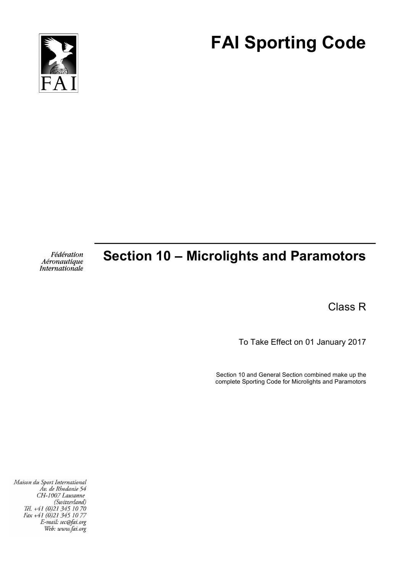

# **FAI Sporting Code**

Fédération Aéronautique<br>Internationale

## **Section 10 – Microlights and Paramotors**

Class R

To Take Effect on 01 January 2017

Section 10 and General Section combined make up the complete Sporting Code for Microlights and Paramotors

Maison du Sport International Áv. de Rhodanie 54 CH-1007 Lausanne (Switzerland) Tél. +41 (0)21 345 10 70 Fax +41 (0)21 345 10 77 E-mail: sec@fai.org Web: www.fai.org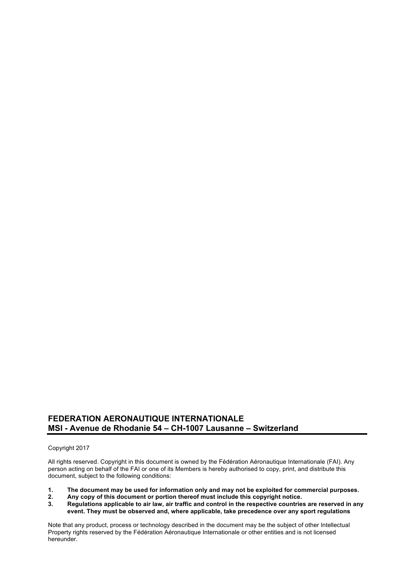### **FEDERATION AERONAUTIQUE INTERNATIONALE MSI - Avenue de Rhodanie 54 – CH-1007 Lausanne – Switzerland**

#### Copyright 2017

All rights reserved. Copyright in this document is owned by the Fédération Aéronautique Internationale (FAI). Any person acting on behalf of the FAI or one of its Members is hereby authorised to copy, print, and distribute this document, subject to the following conditions:

- **1. The document may be used for information only and may not be exploited for commercial purposes.**
- **2. Any copy of this document or portion thereof must include this copyright notice.**
- **3. Regulations applicable to air law, air traffic and control in the respective countries are reserved in any event. They must be observed and, where applicable, take precedence over any sport regulations**

Note that any product, process or technology described in the document may be the subject of other Intellectual Property rights reserved by the Fédération Aéronautique Internationale or other entities and is not licensed hereunder.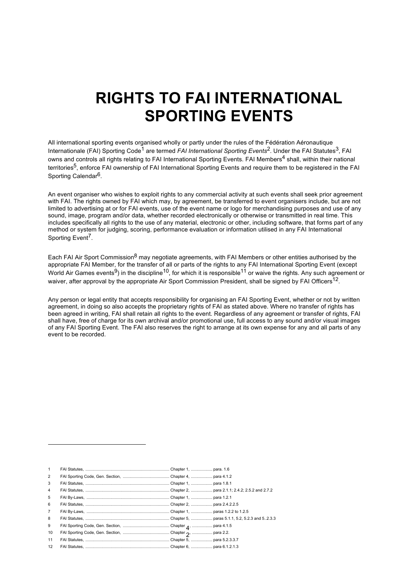## **RIGHTS TO FAI INTERNATIONAL SPORTING EVENTS**

All international sporting events organised wholly or partly under the rules of the Fédération Aéronautique Internationale (FAI) Sporting Code<sup>1</sup> are termed *FAI International Sporting Events*<sup>2</sup>. Under the FAI Statutes<sup>3</sup>, FAI owns and controls all rights relating to FAI International Sporting Events. FAI Members<sup>4</sup> shall, within their national territories<sup>5</sup>, enforce FAI ownership of FAI International Sporting Events and require them to be registered in the FAI Sporting Calendar<sup>6</sup>.

An event organiser who wishes to exploit rights to any commercial activity at such events shall seek prior agreement with FAI. The rights owned by FAI which may, by agreement, be transferred to event organisers include, but are not limited to advertising at or for FAI events, use of the event name or logo for merchandising purposes and use of any sound, image, program and/or data, whether recorded electronically or otherwise or transmitted in real time. This includes specifically all rights to the use of any material, electronic or other, including software, that forms part of any method or system for judging, scoring, performance evaluation or information utilised in any FAI International Sporting Event<sup>7</sup>.

Each FAI Air Sport Commission<sup>8</sup> may negotiate agreements, with FAI Members or other entities authorised by the appropriate FAI Member, for the transfer of all or parts of the rights to any FAI International Sporting Event (except World Air Games events<sup>9</sup>) in the discipline<sup>10</sup>, for which it is responsible<sup>11</sup> or waive the rights. Any such agreement or waiver, after approval by the appropriate Air Sport Commission President, shall be signed by FAI Officers<sup>12</sup>.

Any person or legal entity that accepts responsibility for organising an FAI Sporting Event, whether or not by written agreement, in doing so also accepts the proprietary rights of FAI as stated above. Where no transfer of rights has been agreed in writing, FAI shall retain all rights to the event. Regardless of any agreement or transfer of rights, FAI shall have, free of charge for its own archival and/or promotional use, full access to any sound and/or visual images of any FAI Sporting Event. The FAI also reserves the right to arrange at its own expense for any and all parts of any event to be recorded.

| $\mathbf{1}$   |  |  |
|----------------|--|--|
| 2              |  |  |
| 3              |  |  |
| $\overline{4}$ |  |  |
| 5              |  |  |
| 6              |  |  |
| $7^{\circ}$    |  |  |
| 8              |  |  |
| 9              |  |  |
| 10             |  |  |
| 11             |  |  |
| 12             |  |  |

l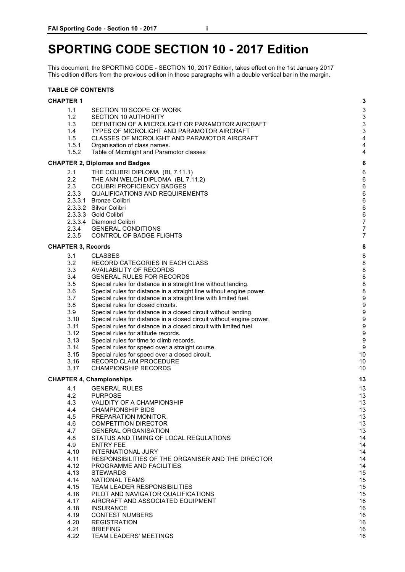## **SPORTING CODE SECTION 10 - 2017 Edition**

This document, the SPORTING CODE - SECTION 10, 2017 Edition, takes effect on the 1st January 2017 This edition differs from the previous edition in those paragraphs with a double vertical bar in the margin.

#### **TABLE OF CONTENTS**

| <b>CHAPTER 1</b> |  |
|------------------|--|
|                  |  |

| 1.1                       | SECTION 10 SCOPE OF WORK                                                                              | 3                     |
|---------------------------|-------------------------------------------------------------------------------------------------------|-----------------------|
| 1.2                       | <b>SECTION 10 AUTHORITY</b>                                                                           | $\mathbf{3}$          |
| 1.3                       | DEFINITION OF A MICROLIGHT OR PARAMOTOR AIRCRAFT                                                      | 3                     |
| 1.4                       | TYPES OF MICROLIGHT AND PARAMOTOR AIRCRAFT                                                            | 3                     |
| 1.5                       | CLASSES OF MICROLIGHT AND PARAMOTOR AIRCRAFT                                                          | 4                     |
| 1.5.1                     | Organisation of class names.                                                                          | $\overline{4}$        |
| 1.5.2                     | Table of Microlight and Paramotor classes                                                             | 4                     |
|                           | <b>CHAPTER 2, Diplomas and Badges</b>                                                                 | 6                     |
| 2.1                       | THE COLIBRI DIPLOMA (BL 7.11.1)                                                                       | $\,6$                 |
| 2.2                       | THE ANN WELCH DIPLOMA (BL 7.11.2)                                                                     | $\,6$                 |
| 2.3                       | <b>COLIBRI PROFICIENCY BADGES</b>                                                                     | $\,6$                 |
| 2.3.3                     | <b>QUALIFICATIONS AND REQUIREMENTS</b>                                                                | $\,6$                 |
|                           | 2.3.3.1 Bronze Colibri                                                                                | $\,6$                 |
|                           | 2.3.3.2 Silver Colibri                                                                                | $\,6$                 |
|                           | 2.3.3.3 Gold Colibri                                                                                  | $\,6$                 |
|                           | 2.3.3.4 Diamond Colibri                                                                               | $\overline{7}$        |
| 2.3.4                     | <b>GENERAL CONDITIONS</b>                                                                             | $\overline{7}$        |
| 2.3.5                     | CONTROL OF BADGE FLIGHTS                                                                              | $\overline{7}$        |
| <b>CHAPTER 3, Records</b> |                                                                                                       | 8                     |
| 3.1                       | <b>CLASSES</b>                                                                                        | 8                     |
| 3.2                       | RECORD CATEGORIES IN EACH CLASS                                                                       | 8                     |
| 3.3                       | <b>AVAILABILITY OF RECORDS</b>                                                                        | 8                     |
| 3.4                       | <b>GENERAL RULES FOR RECORDS</b>                                                                      | 8                     |
| 3.5                       | Special rules for distance in a straight line without landing.                                        | 8                     |
| 3.6                       | Special rules for distance in a straight line without engine power.                                   | 8<br>$\boldsymbol{9}$ |
| 3.7                       | Special rules for distance in a straight line with limited fuel.                                      | $\boldsymbol{9}$      |
| 3.8<br>3.9                | Special rules for closed circuits.<br>Special rules for distance in a closed circuit without landing. | $\boldsymbol{9}$      |
| 3.10                      | Special rules for distance in a closed circuit without engine power.                                  | $\boldsymbol{9}$      |
| 3.11                      | Special rules for distance in a closed circuit with limited fuel.                                     | $\boldsymbol{9}$      |
| 3.12                      | Special rules for altitude records.                                                                   | $\boldsymbol{9}$      |
| 3.13                      | Special rules for time to climb records.                                                              | $\boldsymbol{9}$      |
| 3.14                      | Special rules for speed over a straight course.                                                       | 9                     |
| 3.15                      | Special rules for speed over a closed circuit.                                                        | 10                    |
| 3.16                      | RECORD CLAIM PROCEDURE                                                                                | 10                    |
| 3.17                      | <b>CHAMPIONSHIP RECORDS</b>                                                                           | 10                    |
|                           | <b>CHAPTER 4, Championships</b>                                                                       | 13                    |
| 4.1                       | <b>GENERAL RULES</b>                                                                                  | 13                    |
| 4.2                       | <b>PURPOSE</b>                                                                                        | 13                    |
| 4.3                       | VALIDITY OF A CHAMPIONSHIP                                                                            | 13                    |
| 4.4                       | <b>CHAMPIONSHIP BIDS</b>                                                                              | 13                    |
| 4.5                       | PREPARATION MONITOR                                                                                   | 13                    |
| 4.6                       | <b>COMPETITION DIRECTOR</b>                                                                           | 13                    |
| 4.7                       | <b>GENERAL ORGANISATION</b>                                                                           | 13                    |
| 4.8                       | STATUS AND TIMING OF LOCAL REGULATIONS                                                                | 14                    |
| 4.9                       | <b>ENTRY FEE</b>                                                                                      | 14                    |
| 4.10                      | <b>INTERNATIONAL JURY</b>                                                                             | 14                    |
| 4.11                      | RESPONSIBILITIES OF THE ORGANISER AND THE DIRECTOR                                                    | 14                    |
| 4.12                      | PROGRAMME AND FACILITIES                                                                              | 14                    |
| 4.13<br>4.14              | <b>STEWARDS</b>                                                                                       | 15<br>15              |
| 4.15                      | <b>NATIONAL TEAMS</b><br><b>TEAM LEADER RESPONSIBILITIES</b>                                          | 15                    |
| 4.16                      | PILOT AND NAVIGATOR QUALIFICATIONS                                                                    | 15                    |
| 4.17                      | AIRCRAFT AND ASSOCIATED EQUIPMENT                                                                     | 16                    |
| 4.18                      | <b>INSURANCE</b>                                                                                      | 16                    |
| 4.19                      | <b>CONTEST NUMBERS</b>                                                                                | 16                    |
| 4.20                      | <b>REGISTRATION</b>                                                                                   | 16                    |
| 4.21                      | <b>BRIEFING</b>                                                                                       | 16                    |
|                           |                                                                                                       |                       |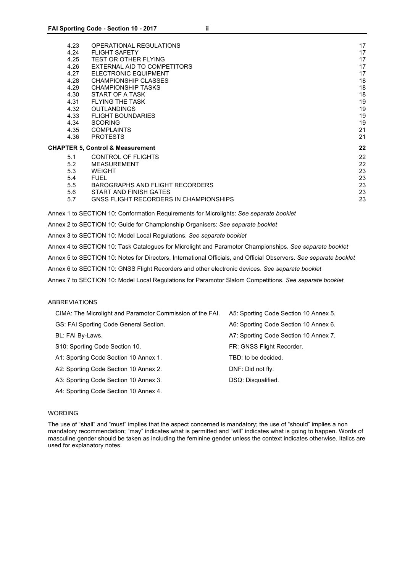| 4.23<br>4.24<br>4.25<br>4.26<br>4.27<br>4.28<br>4.29<br>4.30<br>4.31<br>4.32<br>4.33 | OPERATIONAL REGULATIONS<br><b>FLIGHT SAFETY</b><br><b>TEST OR OTHER FLYING</b><br>EXTERNAL AID TO COMPETITORS<br><b>ELECTRONIC EQUIPMENT</b><br><b>CHAMPIONSHIP CLASSES</b><br><b>CHAMPIONSHIP TASKS</b><br>START OF A TASK<br><b>FLYING THE TASK</b><br><b>OUTLANDINGS</b><br><b>FLIGHT BOUNDARIES</b> | 17<br>17<br>17<br>17<br>17<br>18<br>18<br>18<br>19<br>19<br>19 |
|--------------------------------------------------------------------------------------|---------------------------------------------------------------------------------------------------------------------------------------------------------------------------------------------------------------------------------------------------------------------------------------------------------|----------------------------------------------------------------|
| 4.34                                                                                 | <b>SCORING</b>                                                                                                                                                                                                                                                                                          | 19                                                             |
| 4.35                                                                                 | <b>COMPLAINTS</b>                                                                                                                                                                                                                                                                                       | 21                                                             |
| 4.36                                                                                 | <b>PROTESTS</b>                                                                                                                                                                                                                                                                                         | 21                                                             |
|                                                                                      | <b>CHAPTER 5, Control &amp; Measurement</b>                                                                                                                                                                                                                                                             | 22                                                             |
| 5.1<br>5.2<br>5.3<br>5.4<br>5.5<br>5.6<br>5.7                                        | <b>CONTROL OF FLIGHTS</b><br><b>MEASUREMENT</b><br><b>WEIGHT</b><br><b>FUEL</b><br>BAROGRAPHS AND FLIGHT RECORDERS<br>START AND FINISH GATES<br>GNSS FLIGHT RECORDERS IN CHAMPIONSHIPS                                                                                                                  | 22<br>22<br>23<br>23<br>23<br>23<br>23                         |
|                                                                                      |                                                                                                                                                                                                                                                                                                         |                                                                |

Annex 1 to SECTION 10: Conformation Requirements for Microlights: *See separate booklet*

Annex 2 to SECTION 10: Guide for Championship Organisers: *See separate booklet*

Annex 3 to SECTION 10: Model Local Regulations. *See separate booklet*

Annex 4 to SECTION 10: Task Catalogues for Microlight and Paramotor Championships. *See separate booklet*

Annex 5 to SECTION 10: Notes for Directors, International Officials, and Official Observers. *See separate booklet*

Annex 6 to SECTION 10: GNSS Flight Recorders and other electronic devices. *See separate booklet*

Annex 7 to SECTION 10: Model Local Regulations for Paramotor Slalom Competitions. *See separate booklet*

#### ABBREVIATIONS

| CIMA: The Microlight and Paramotor Commission of the FAI. | A5: Sporting Code Section 10 Annex 5. |
|-----------------------------------------------------------|---------------------------------------|
| GS: FAI Sporting Code General Section.                    | A6: Sporting Code Section 10 Annex 6. |
| BL: FAI By-Laws.                                          | A7: Sporting Code Section 10 Annex 7. |
| S10: Sporting Code Section 10.                            | FR: GNSS Flight Recorder.             |
| A1: Sporting Code Section 10 Annex 1.                     | TBD: to be decided.                   |
| A2: Sporting Code Section 10 Annex 2.                     | DNF: Did not fly.                     |
| A3: Sporting Code Section 10 Annex 3.                     | DSQ: Disqualified.                    |
| A4: Sporting Code Section 10 Annex 4.                     |                                       |

#### WORDING

The use of "shall" and "must" implies that the aspect concerned is mandatory; the use of "should" implies a non mandatory recommendation; "may" indicates what is permitted and "will" indicates what is going to happen. Words of masculine gender should be taken as including the feminine gender unless the context indicates otherwise. Italics are used for explanatory notes.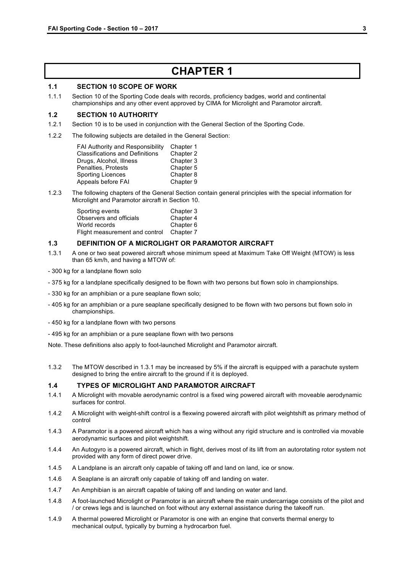### **CHAPTER 1**

#### **1.1 SECTION 10 SCOPE OF WORK**

1.1.1 Section 10 of the Sporting Code deals with records, proficiency badges, world and continental championships and any other event approved by CIMA for Microlight and Paramotor aircraft.

#### **1.2 SECTION 10 AUTHORITY**

- 1.2.1 Section 10 is to be used in conjunction with the General Section of the Sporting Code.
- 1.2.2 The following subjects are detailed in the General Section:

| <b>FAI Authority and Responsibility</b> | Chapter 1 |
|-----------------------------------------|-----------|
| <b>Classifications and Definitions</b>  | Chapter 2 |
| Drugs, Alcohol, Illness                 | Chapter 3 |
| Penalties, Protests                     | Chapter 5 |
| Sporting Licences                       | Chapter 8 |
| Appeals before FAI                      | Chapter 9 |

1.2.3 The following chapters of the General Section contain general principles with the special information for Microlight and Paramotor aircraft in Section 10.

| Sporting events                | Chapter 3 |
|--------------------------------|-----------|
| Observers and officials        | Chapter 4 |
| World records                  | Chapter 6 |
| Flight measurement and control | Chapter 7 |

#### **1.3 DEFINITION OF A MICROLIGHT OR PARAMOTOR AIRCRAFT**

- 1.3.1 A one or two seat powered aircraft whose minimum speed at Maximum Take Off Weight (MTOW) is less than 65 km/h, and having a MTOW of:
- 300 kg for a landplane flown solo
- 375 kg for a landplane specifically designed to be flown with two persons but flown solo in championships.
- 330 kg for an amphibian or a pure seaplane flown solo;
- 405 kg for an amphibian or a pure seaplane specifically designed to be flown with two persons but flown solo in championships.
- 450 kg for a landplane flown with two persons
- 495 kg for an amphibian or a pure seaplane flown with two persons

Note. These definitions also apply to foot-launched Microlight and Paramotor aircraft.

1.3.2 The MTOW described in 1.3.1 may be increased by 5% if the aircraft is equipped with a parachute system designed to bring the entire aircraft to the ground if it is deployed.

#### **1.4 TYPES OF MICROLIGHT AND PARAMOTOR AIRCRAFT**

- 1.4.1 A Microlight with movable aerodynamic control is a fixed wing powered aircraft with moveable aerodynamic surfaces for control.
- 1.4.2 A Microlight with weight-shift control is a flexwing powered aircraft with pilot weightshift as primary method of control
- 1.4.3 A Paramotor is a powered aircraft which has a wing without any rigid structure and is controlled via movable aerodynamic surfaces and pilot weightshift.
- 1.4.4 An Autogyro is a powered aircraft, which in flight, derives most of its lift from an autorotating rotor system not provided with any form of direct power drive.
- 1.4.5 A Landplane is an aircraft only capable of taking off and land on land, ice or snow.
- 1.4.6 A Seaplane is an aircraft only capable of taking off and landing on water.
- 1.4.7 An Amphibian is an aircraft capable of taking off and landing on water and land.
- 1.4.8 A foot-launched Microlight or Paramotor is an aircraft where the main undercarriage consists of the pilot and / or crews legs and is launched on foot without any external assistance during the takeoff run.
- 1.4.9 A thermal powered Microlight or Paramotor is one with an engine that converts thermal energy to mechanical output, typically by burning a hydrocarbon fuel.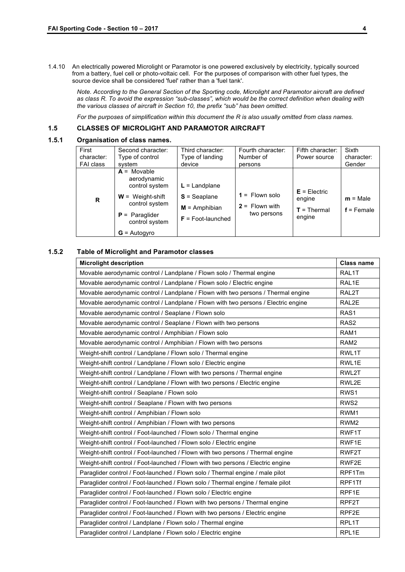1.4.10 An electrically powered Microlight or Paramotor is one powered exclusively by electricity, typically sourced from a battery, fuel cell or photo-voltaic cell. For the purposes of comparison with other fuel types, the source device shall be considered 'fuel' rather than a 'fuel tank'.

*Note. According to the General Section of the Sporting code, Microlight and Paramotor aircraft are defined as class R. To avoid the expression "sub-classes", which would be the correct definition when dealing with the various classes of aircraft in Section 10, the prefix "sub" has been omitted.*

*For the purposes of simplification within this document the R is also usually omitted from class names.*

#### **1.5 CLASSES OF MICROLIGHT AND PARAMOTOR AIRCRAFT**

#### **1.5.1 Organisation of class names.**

| First<br>character:<br>FAI class | Second character:<br>Type of control<br>svstem                                                                                                        | Third character:<br>Type of landing<br>device                               | Fourth character:<br>Number of<br>persons           | Fifth character:<br>Power source                     | <b>Sixth</b><br>character:<br>Gender |
|----------------------------------|-------------------------------------------------------------------------------------------------------------------------------------------------------|-----------------------------------------------------------------------------|-----------------------------------------------------|------------------------------------------------------|--------------------------------------|
| R                                | $A = Movable$<br>aerodynamic<br>control system<br>$W =$ Weight-shift<br>control system<br>$P = \text{Paraglider}$<br>control system<br>$G =$ Autogyro | $L =$ Landplane<br>$S =$ Seaplane<br>$M =$ Amphibian<br>$F =$ Foot-launched | $1 =$ Flown solo<br>$2 =$ Flown with<br>two persons | $E = E$ lectric<br>engine<br>$T =$ Thermal<br>engine | $m = Male$<br>$f =$ Female           |

#### **1.5.2 Table of Microlight and Paramotor classes**

| <b>Microlight description</b>                                                      | <b>Class name</b> |
|------------------------------------------------------------------------------------|-------------------|
| Movable aerodynamic control / Landplane / Flown solo / Thermal engine              | RAL1T             |
| Movable aerodynamic control / Landplane / Flown solo / Electric engine             | RAL1E             |
| Movable aerodynamic control / Landplane / Flown with two persons / Thermal engine  | RAL2T             |
| Movable aerodynamic control / Landplane / Flown with two persons / Electric engine | RAL2E             |
| Movable aerodynamic control / Seaplane / Flown solo                                | RAS <sub>1</sub>  |
| Movable aerodynamic control / Seaplane / Flown with two persons                    | RAS <sub>2</sub>  |
| Movable aerodynamic control / Amphibian / Flown solo                               | RAM1              |
| Movable aerodynamic control / Amphibian / Flown with two persons                   | RAM2              |
| Weight-shift control / Landplane / Flown solo / Thermal engine                     | RWL1T             |
| Weight-shift control / Landplane / Flown solo / Electric engine                    | RWL1E             |
| Weight-shift control / Landplane / Flown with two persons / Thermal engine         | RWL2T             |
| Weight-shift control / Landplane / Flown with two persons / Electric engine        | RWL2E             |
| Weight-shift control / Seaplane / Flown solo                                       | RWS <sub>1</sub>  |
| Weight-shift control / Seaplane / Flown with two persons                           | RWS <sub>2</sub>  |
| Weight-shift control / Amphibian / Flown solo                                      | RWM1              |
| Weight-shift control / Amphibian / Flown with two persons                          | RWM <sub>2</sub>  |
| Weight-shift control / Foot-launched / Flown solo / Thermal engine                 | RWF1T             |
| Weight-shift control / Foot-launched / Flown solo / Electric engine                | RWF1E             |
| Weight-shift control / Foot-launched / Flown with two persons / Thermal engine     | RWF2T             |
| Weight-shift control / Foot-launched / Flown with two persons / Electric engine    | RWF2E             |
| Paraglider control / Foot-launched / Flown solo / Thermal engine / male pilot      | RPF1Tm            |
| Paraglider control / Foot-launched / Flown solo / Thermal engine / female pilot    | RPF1Tf            |
| Paraglider control / Foot-launched / Flown solo / Electric engine                  | RPF1E             |
| Paraglider control / Foot-launched / Flown with two persons / Thermal engine       | RPF2T             |
| Paraglider control / Foot-launched / Flown with two persons / Electric engine      | RPF2E             |
| Paraglider control / Landplane / Flown solo / Thermal engine                       | RPL1T             |
| Paraglider control / Landplane / Flown solo / Electric engine                      | RPL1E             |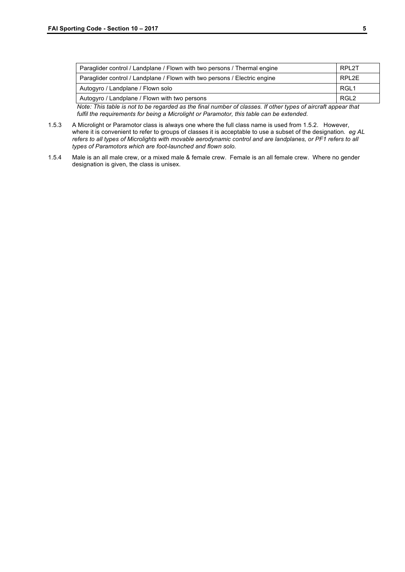| Paraglider control / Landplane / Flown with two persons / Thermal engine  | RPL2T            |
|---------------------------------------------------------------------------|------------------|
| Paraglider control / Landplane / Flown with two persons / Electric engine | RPL2E            |
| Autogyro / Landplane / Flown solo                                         | RGL <sub>1</sub> |
| Autogyro / Landplane / Flown with two persons                             | RGL <sub>2</sub> |
|                                                                           |                  |

*Note: This table is not to be regarded as the final number of classes. If other types of aircraft appear that fulfil the requirements for being a Microlight or Paramotor, this table can be extended.*

- 1.5.3 A Microlight or Paramotor class is always one where the full class name is used from 1.5.2. However, where it is convenient to refer to groups of classes it is acceptable to use a subset of the designation. *eg AL refers to all types of Microlights with movable aerodynamic control and are landplanes, or PF1 refers to all types of Paramotors which are foot-launched and flown solo.*
- 1.5.4 Male is an all male crew, or a mixed male & female crew. Female is an all female crew. Where no gender designation is given, the class is unisex.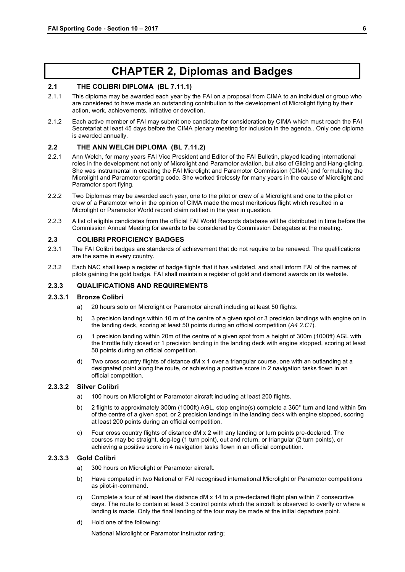## **CHAPTER 2, Diplomas and Badges**

#### **2.1 THE COLIBRI DIPLOMA (BL 7.11.1)**

- 2.1.1 This diploma may be awarded each year by the FAI on a proposal from CIMA to an individual or group who are considered to have made an outstanding contribution to the development of Microlight flying by their action, work, achievements, initiative or devotion.
- 2.1.2 Each active member of FAI may submit one candidate for consideration by CIMA which must reach the FAI Secretariat at least 45 days before the CIMA plenary meeting for inclusion in the agenda.. Only one diploma is awarded annually.

#### **2.2 THE ANN WELCH DIPLOMA (BL 7.11.2)**

- 2.2.1 Ann Welch, for many years FAI Vice President and Editor of the FAI Bulletin, played leading international roles in the development not only of Microlight and Paramotor aviation, but also of Gliding and Hang-gliding. She was instrumental in creating the FAI Microlight and Paramotor Commission (CIMA) and formulating the Microlight and Paramotor sporting code. She worked tirelessly for many years in the cause of Microlight and Paramotor sport flying.
- 2.2.2 Two Diplomas may be awarded each year, one to the pilot or crew of a Microlight and one to the pilot or crew of a Paramotor who in the opinion of CIMA made the most meritorious flight which resulted in a Microlight or Paramotor World record claim ratified in the year in question.
- 2.2.3 A list of eligible candidates from the official FAI World Records database will be distributed in time before the Commission Annual Meeting for awards to be considered by Commission Delegates at the meeting.

#### **2.3 COLIBRI PROFICIENCY BADGES**

- 2.3.1 The FAI Colibri badges are standards of achievement that do not require to be renewed. The qualifications are the same in every country.
- 2.3.2 Each NAC shall keep a register of badge flights that it has validated, and shall inform FAI of the names of pilots gaining the gold badge. FAI shall maintain a register of gold and diamond awards on its website.

#### **2.3.3 QUALIFICATIONS AND REQUIREMENTS**

#### **2.3.3.1 Bronze Colibri**

- a) 20 hours solo on Microlight or Paramotor aircraft including at least 50 flights.
- b) 3 precision landings within 10 m of the centre of a given spot or 3 precision landings with engine on in the landing deck, scoring at least 50 points during an official competition (*A4 2.C1*).
- c) 1 precision landing within 20m of the centre of a given spot from a height of 300m (1000ft) AGL with the throttle fully closed or 1 precision landing in the landing deck with engine stopped, scoring at least 50 points during an official competition.
- d) Two cross country flights of distance dM x 1 over a triangular course, one with an outlanding at a designated point along the route, or achieving a positive score in 2 navigation tasks flown in an official competition.

#### **2.3.3.2 Silver Colibri**

- a) 100 hours on Microlight or Paramotor aircraft including at least 200 flights.
- b) 2 flights to approximately 300m (1000ft) AGL, stop engine(s) complete a 360° turn and land within 5m of the centre of a given spot, or 2 precision landings in the landing deck with engine stopped, scoring at least 200 points during an official competition.
- c) Four cross country flights of distance dM x 2 with any landing or turn points pre-declared. The courses may be straight, dog-leg (1 turn point), out and return, or triangular (2 turn points), or achieving a positive score in 4 navigation tasks flown in an official competition.

#### **2.3.3.3 Gold Colibri**

- a) 300 hours on Microlight or Paramotor aircraft.
- b) Have competed in two National or FAI recognised international Microlight or Paramotor competitions as pilot-in-command.
- c) Complete a tour of at least the distance dM x 14 to a pre-declared flight plan within 7 consecutive days. The route to contain at least 3 control points which the aircraft is observed to overfly or where a landing is made. Only the final landing of the tour may be made at the initial departure point.
- d) Hold one of the following:

National Microlight or Paramotor instructor rating;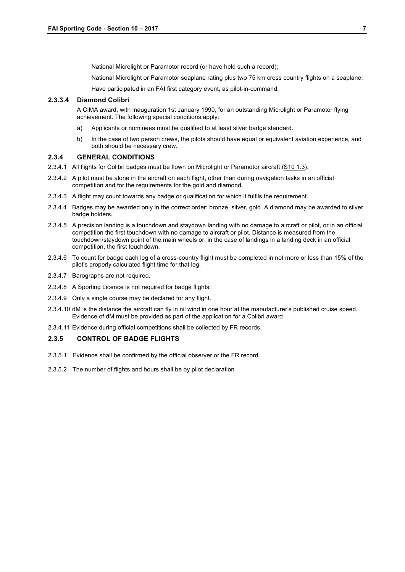National Microlight or Paramotor record (or have held such a record);

National Microlight or Paramotor seaplane rating plus two 75 km cross country flights on a seaplane;

Have participated in an FAI first category event, as pilot-in-command.

#### **2.3.3.4 Diamond Colibri**

A CIMA award, with inauguration 1st January 1990, for an outstanding Microlight or Paramotor flying achievement. The following special conditions apply:

- a) Applicants or nominees must be qualified to at least silver badge standard.
- b) In the case of two person crews, the pilots should have equal or equivalent aviation experience, and both should be necessary crew.

#### **2.3.4 GENERAL CONDITIONS**

- 2.3.4.1 All flights for Colibri badges must be flown on Microlight or Paramotor aircraft (S10 1.3).
- 2.3.4.2 A pilot must be alone in the aircraft on each flight, other than during navigation tasks in an official competition and for the requirements for the gold and diamond.
- 2.3.4.3 A flight may count towards any badge or qualification for which it fulfils the requirement.
- 2.3.4.4 Badges may be awarded only in the correct order: bronze, silver, gold. A diamond may be awarded to silver badge holders.
- 2.3.4.5 A precision landing is a touchdown and staydown landing with no damage to aircraft or pilot, or in an official competition the first touchdown with no damage to aircraft or pilot. Distance is measured from the touchdown/staydown point of the main wheels or, in the case of landings in a landing deck in an official competition, the first touchdown.
- 2.3.4.6 To count for badge each leg of a cross-country flight must be completed in not more or less than 15% of the pilot's properly calculated flight time for that leg.
- 2.3.4.7 Barographs are not required.
- 2.3.4.8 A Sporting Licence is not required for badge flights.
- 2.3.4.9 Only a single course may be declared for any flight.
- 2.3.4.10 dM is the distance the aircraft can fly in nil wind in one hour at the manufacturer's published cruise speed. Evidence of dM must be provided as part of the application for a Colibri award
- 2.3.4.11 Evidence during official competitions shall be collected by FR records.

#### **2.3.5 CONTROL OF BADGE FLIGHTS**

- 2.3.5.1 Evidence shall be confirmed by the official observer or the FR record.
- 2.3.5.2 The number of flights and hours shall be by pilot declaration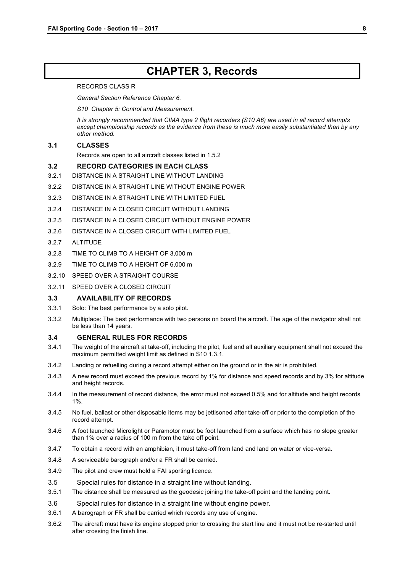### **CHAPTER 3, Records**

#### RECORDS CLASS R

*General Section Reference Chapter 6.*

*S10 Chapter 5: Control and Measurement.*

*It is strongly recommended that CIMA type 2 flight recorders (S10 A6) are used in all record attempts except championship records as the evidence from these is much more easily substantiated than by any other method.*

#### **3.1 CLASSES**

Records are open to all aircraft classes listed in 1.5.2

#### **3.2 RECORD CATEGORIES IN EACH CLASS**

- 3.2.1 DISTANCE IN A STRAIGHT LINE WITHOUT LANDING
- 3.2.2 DISTANCE IN A STRAIGHT LINE WITHOUT ENGINE POWER
- 3.2.3 DISTANCE IN A STRAIGHT LINE WITH LIMITED FUEL
- 3.2.4 DISTANCE IN A CLOSED CIRCUIT WITHOUT LANDING
- 3.2.5 DISTANCE IN A CLOSED CIRCUIT WITHOUT ENGINE POWER
- 3.2.6 DISTANCE IN A CLOSED CIRCUIT WITH LIMITED FUEL
- 3.2.7 ALTITUDE
- 3.2.8 TIME TO CLIMB TO A HEIGHT OF 3,000 m
- 3.2.9 TIME TO CLIMB TO A HEIGHT OF 6,000 m
- 3.2.10 SPEED OVER A STRAIGHT COURSE
- 3.2.11 SPEED OVER A CLOSED CIRCUIT

#### **3.3 AVAILABILITY OF RECORDS**

- 3.3.1 Solo: The best performance by a solo pilot.
- 3.3.2 Multiplace: The best performance with two persons on board the aircraft. The age of the navigator shall not be less than 14 years.

#### **3.4 GENERAL RULES FOR RECORDS**

- 3.4.1 The weight of the aircraft at take-off, including the pilot, fuel and all auxiliary equipment shall not exceed the maximum permitted weight limit as defined in S10 1.3.1.
- 3.4.2 Landing or refuelling during a record attempt either on the ground or in the air is prohibited.
- 3.4.3 A new record must exceed the previous record by 1% for distance and speed records and by 3% for altitude and height records.
- 3.4.4 In the measurement of record distance, the error must not exceed 0.5% and for altitude and height records 1%.
- 3.4.5 No fuel, ballast or other disposable items may be jettisoned after take-off or prior to the completion of the record attempt.
- 3.4.6 A foot launched Microlight or Paramotor must be foot launched from a surface which has no slope greater than 1% over a radius of 100 m from the take off point.
- 3.4.7 To obtain a record with an amphibian, it must take-off from land and land on water or vice-versa.
- 3.4.8 A serviceable barograph and/or a FR shall be carried.
- 3.4.9 The pilot and crew must hold a FAI sporting licence.
- 3.5 Special rules for distance in a straight line without landing.
- 3.5.1 The distance shall be measured as the geodesic joining the take-off point and the landing point.
- 3.6 Special rules for distance in a straight line without engine power.
- 3.6.1 A barograph or FR shall be carried which records any use of engine.
- 3.6.2 The aircraft must have its engine stopped prior to crossing the start line and it must not be re-started until after crossing the finish line.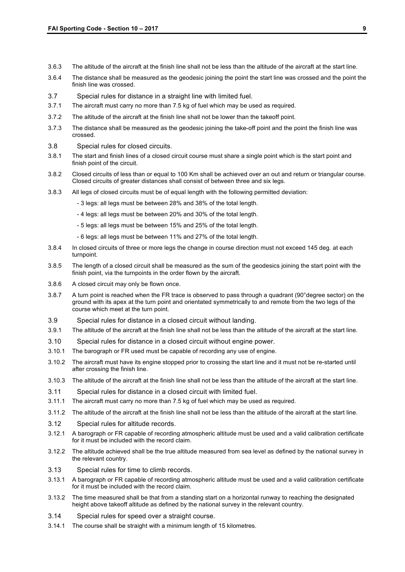- 3.6.3 The altitude of the aircraft at the finish line shall not be less than the altitude of the aircraft at the start line.
- 3.6.4 The distance shall be measured as the geodesic joining the point the start line was crossed and the point the finish line was crossed.
- 3.7 Special rules for distance in a straight line with limited fuel.
- 3.7.1 The aircraft must carry no more than 7.5 kg of fuel which may be used as required.
- 3.7.2 The altitude of the aircraft at the finish line shall not be lower than the takeoff point.
- 3.7.3 The distance shall be measured as the geodesic joining the take-off point and the point the finish line was crossed.
- 3.8 Special rules for closed circuits.
- 3.8.1 The start and finish lines of a closed circuit course must share a single point which is the start point and finish point of the circuit.
- 3.8.2 Closed circuits of less than or equal to 100 Km shall be achieved over an out and return or triangular course. Closed circuits of greater distances shall consist of between three and six legs.
- 3.8.3 All legs of closed circuits must be of equal length with the following permitted deviation:
	- 3 legs: all legs must be between 28% and 38% of the total length.
	- 4 legs: all legs must be between 20% and 30% of the total length.
	- 5 legs: all legs must be between 15% and 25% of the total length.
	- 6 legs: all legs must be between 11% and 27% of the total length.
- 3.8.4 In closed circuits of three or more legs the change in course direction must not exceed 145 deg. at each turnpoint.
- 3.8.5 The length of a closed circuit shall be measured as the sum of the geodesics joining the start point with the finish point, via the turnpoints in the order flown by the aircraft.
- 3.8.6 A closed circuit may only be flown once.
- 3.8.7 A turn point is reached when the FR trace is observed to pass through a quadrant (90°degree sector) on the ground with its apex at the turn point and orientated symmetrically to and remote from the two legs of the course which meet at the turn point.
- 3.9 Special rules for distance in a closed circuit without landing.
- 3.9.1 The altitude of the aircraft at the finish line shall not be less than the altitude of the aircraft at the start line.
- 3.10 Special rules for distance in a closed circuit without engine power.
- 3.10.1 The barograph or FR used must be capable of recording any use of engine.
- 3.10.2 The aircraft must have its engine stopped prior to crossing the start line and it must not be re-started until after crossing the finish line.
- 3.10.3 The altitude of the aircraft at the finish line shall not be less than the altitude of the aircraft at the start line.
- 3.11 Special rules for distance in a closed circuit with limited fuel.
- 3.11.1 The aircraft must carry no more than 7.5 kg of fuel which may be used as required.
- 3.11.2 The altitude of the aircraft at the finish line shall not be less than the altitude of the aircraft at the start line.
- 3.12 Special rules for altitude records.
- 3.12.1 A barograph or FR capable of recording atmospheric altitude must be used and a valid calibration certificate for it must be included with the record claim.
- 3.12.2 The altitude achieved shall be the true altitude measured from sea level as defined by the national survey in the relevant country.
- 3.13 Special rules for time to climb records.
- 3.13.1 A barograph or FR capable of recording atmospheric altitude must be used and a valid calibration certificate for it must be included with the record claim.
- 3.13.2 The time measured shall be that from a standing start on a horizontal runway to reaching the designated height above takeoff altitude as defined by the national survey in the relevant country.
- 3.14 Special rules for speed over a straight course.
- 3.14.1 The course shall be straight with a minimum length of 15 kilometres.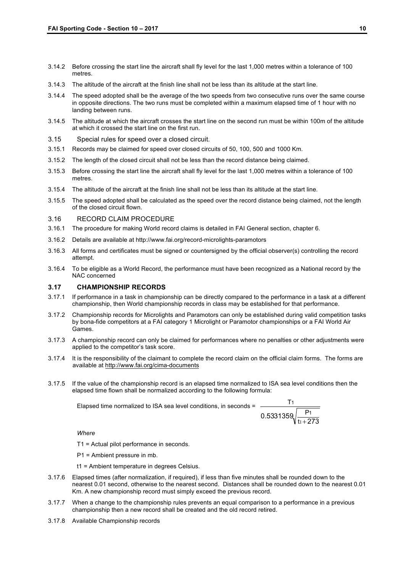- 3.14.2 Before crossing the start line the aircraft shall fly level for the last 1,000 metres within a tolerance of 100 metres.
- 3.14.3 The altitude of the aircraft at the finish line shall not be less than its altitude at the start line.
- 3.14.4 The speed adopted shall be the average of the two speeds from two consecutive runs over the same course in opposite directions. The two runs must be completed within a maximum elapsed time of 1 hour with no landing between runs.
- 3.14.5 The altitude at which the aircraft crosses the start line on the second run must be within 100m of the altitude at which it crossed the start line on the first run.
- 3.15 Special rules for speed over a closed circuit.
- 3.15.1 Records may be claimed for speed over closed circuits of 50, 100, 500 and 1000 Km.
- 3.15.2 The length of the closed circuit shall not be less than the record distance being claimed.
- 3.15.3 Before crossing the start line the aircraft shall fly level for the last 1,000 metres within a tolerance of 100 metres.
- 3.15.4 The altitude of the aircraft at the finish line shall not be less than its altitude at the start line.
- 3.15.5 The speed adopted shall be calculated as the speed over the record distance being claimed, not the length of the closed circuit flown.
- 3.16 RECORD CLAIM PROCEDURE
- 3.16.1 The procedure for making World record claims is detailed in FAI General section, chapter 6.
- 3.16.2 Details are available at http://www.fai.org/record-microlights-paramotors
- 3.16.3 All forms and certificates must be signed or countersigned by the official observer(s) controlling the record attempt.
- 3.16.4 To be eligible as a World Record, the performance must have been recognized as a National record by the NAC concerned

#### **3.17 CHAMPIONSHIP RECORDS**

- 3.17.1 If performance in a task in championship can be directly compared to the performance in a task at a different championship, then World championship records in class may be established for that performance.
- 3.17.2 Championship records for Microlights and Paramotors can only be established during valid competition tasks by bona-fide competitors at a FAI category 1 Microlight or Paramotor championships or a FAI World Air Games.
- 3.17.3 A championship record can only be claimed for performances where no penalties or other adjustments were applied to the competitor's task score.
- 3.17.4 It is the responsibility of the claimant to complete the record claim on the official claim forms. The forms are available at http://www.fai.org/cima-documents
- 3.17.5 If the value of the championship record is an elapsed time normalized to ISA sea level conditions then the elapsed time flown shall be normalized according to the following formula:

Elapsed time normalized to ISA sea level conditions, in seconds =

$$
\frac{T_1}{0.5331359 \sqrt{\frac{P_1}{t_1+273}}}
$$

*Where* 

- T1 = Actual pilot performance in seconds.
- P1 = Ambient pressure in mb.

t1 = Ambient temperature in degrees Celsius.

- 3.17.6 Elapsed times (after normalization, if required), if less than five minutes shall be rounded down to the nearest 0.01 second, otherwise to the nearest second. Distances shall be rounded down to the nearest 0.01 Km. A new championship record must simply exceed the previous record.
- 3.17.7 When a change to the championship rules prevents an equal comparison to a performance in a previous championship then a new record shall be created and the old record retired.
- 3.17.8 Available Championship records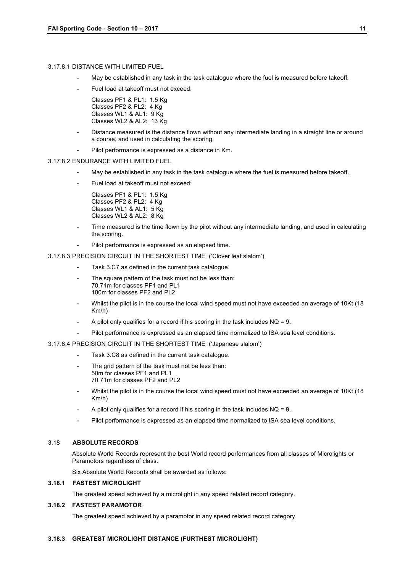#### 3.17.8.1 DISTANCE WITH LIMITED FUEL

- May be established in any task in the task catalogue where the fuel is measured before takeoff.
- Fuel load at takeoff must not exceed:
	- Classes PF1 & PL1: 1.5 Kg Classes PF2 & PL2: 4 Kg Classes WL1 & AL1: 9 Kg Classes WL2 & AL2: 13 Kg
- Distance measured is the distance flown without any intermediate landing in a straight line or around a course, and used in calculating the scoring.
- Pilot performance is expressed as a distance in Km.

#### 3.17.8.2 ENDURANCE WITH LIMITED FUEL

- May be established in any task in the task catalogue where the fuel is measured before takeoff.
- Fuel load at takeoff must not exceed:

Classes PF1 & PL1: 1.5 Kg Classes PF2 & PL2: 4 Kg Classes WL1 & AL1: 5 Kg Classes WL2 & AL2: 8 Kg

- Time measured is the time flown by the pilot without any intermediate landing, and used in calculating the scoring.
- Pilot performance is expressed as an elapsed time.

3.17.8.3 PRECISION CIRCUIT IN THE SHORTEST TIME ('Clover leaf slalom')

- Task 3.C7 as defined in the current task catalogue.
- The square pattern of the task must not be less than: 70.71m for classes PF1 and PL1 100m for classes PF2 and PL2
- Whilst the pilot is in the course the local wind speed must not have exceeded an average of 10Kt (18 Km/h)
- A pilot only qualifies for a record if his scoring in the task includes  $NQ = 9$ .
- Pilot performance is expressed as an elapsed time normalized to ISA sea level conditions.

#### 3.17.8.4 PRECISION CIRCUIT IN THE SHORTEST TIME ('Japanese slalom')

- Task 3.C8 as defined in the current task catalogue.
- The grid pattern of the task must not be less than: 50m for classes PF1 and PL1 70.71m for classes PF2 and PL2
- Whilst the pilot is in the course the local wind speed must not have exceeded an average of 10Kt (18 Km/h)
- A pilot only qualifies for a record if his scoring in the task includes  $NQ = 9$ .
- Pilot performance is expressed as an elapsed time normalized to ISA sea level conditions.

#### 3.18 **ABSOLUTE RECORDS**

Absolute World Records represent the best World record performances from all classes of Microlights or Paramotors regardless of class.

Six Absolute World Records shall be awarded as follows:

#### **3.18.1 FASTEST MICROLIGHT**

The greatest speed achieved by a microlight in any speed related record category.

#### **3.18.2 FASTEST PARAMOTOR**

The greatest speed achieved by a paramotor in any speed related record category.

#### **3.18.3 GREATEST MICROLIGHT DISTANCE (FURTHEST MICROLIGHT)**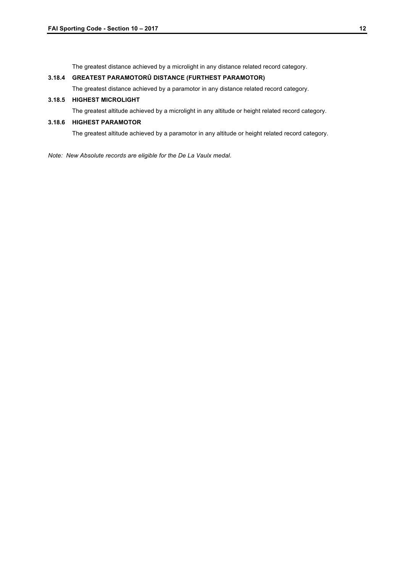The greatest distance achieved by a microlight in any distance related record category.

#### **3.18.4 GREATEST PARAMOTORÛ DISTANCE (FURTHEST PARAMOTOR)**

The greatest distance achieved by a paramotor in any distance related record category.

#### **3.18.5 HIGHEST MICROLIGHT**

The greatest altitude achieved by a microlight in any altitude or height related record category.

#### **3.18.6 HIGHEST PARAMOTOR**

The greatest altitude achieved by a paramotor in any altitude or height related record category.

*Note: New Absolute records are eligible for the De La Vaulx medal.*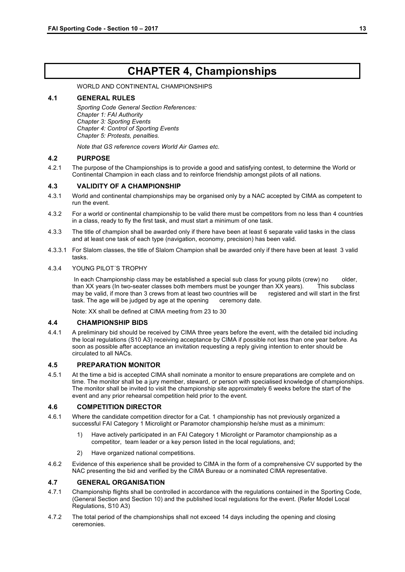## **CHAPTER 4, Championships**

WORLD AND CONTINENTAL CHAMPIONSHIPS

#### **4.1 GENERAL RULES**

*Sporting Code General Section References: Chapter 1: FAI Authority Chapter 3: Sporting Events Chapter 4: Control of Sporting Events Chapter 5: Protests, penalties.* 

*Note that GS reference covers World Air Games etc.*

#### **4.2 PURPOSE**

4.2.1 The purpose of the Championships is to provide a good and satisfying contest, to determine the World or Continental Champion in each class and to reinforce friendship amongst pilots of all nations.

#### **4.3 VALIDITY OF A CHAMPIONSHIP**

- 4.3.1 World and continental championships may be organised only by a NAC accepted by CIMA as competent to run the event.
- 4.3.2 For a world or continental championship to be valid there must be competitors from no less than 4 countries in a class, ready to fly the first task, and must start a minimum of one task.
- 4.3.3 The title of champion shall be awarded only if there have been at least 6 separate valid tasks in the class and at least one task of each type (navigation, economy, precision) has been valid.
- 4.3.3.1 For Slalom classes, the title of Slalom Champion shall be awarded only if there have been at least 3 valid tasks.

#### 4.3.4 YOUNG PILOT´S TROPHY

In each Championship class may be established a special sub class for young pilots (crew) no older, than XX years (In two-seater classes both members must be younger than XX years). This subclass may be valid, if more than 3 crews from at least two countries will be registered and will start in the first task. The age will be judged by age at the opening ceremony date.

Note: XX shall be defined at CIMA meeting from 23 to 30

#### **4.4 CHAMPIONSHIP BIDS**

4.4.1 A preliminary bid should be received by CIMA three years before the event, with the detailed bid including the local regulations (S10 A3) receiving acceptance by CIMA if possible not less than one year before. As soon as possible after acceptance an invitation requesting a reply giving intention to enter should be circulated to all NACs.

#### **4.5 PREPARATION MONITOR**

4.5.1 At the time a bid is accepted CIMA shall nominate a monitor to ensure preparations are complete and on time. The monitor shall be a jury member, steward, or person with specialised knowledge of championships. The monitor shall be invited to visit the championship site approximately 6 weeks before the start of the event and any prior rehearsal competition held prior to the event.

#### **4.6 COMPETITION DIRECTOR**

- 4.6.1 Where the candidate competition director for a Cat. 1 championship has not previously organized a successful FAI Category 1 Microlight or Paramotor championship he/she must as a minimum:
	- 1) Have actively participated in an FAI Category 1 Microlight or Paramotor championship as a competitor, team leader or a key person listed in the local regulations, and;
	- 2) Have organized national competitions.
- 4.6.2 Evidence of this experience shall be provided to CIMA in the form of a comprehensive CV supported by the NAC presenting the bid and verified by the CIMA Bureau or a nominated CIMA representative.

#### **4.7 GENERAL ORGANISATION**

- 4.7.1 Championship flights shall be controlled in accordance with the regulations contained in the Sporting Code, (General Section and Section 10) and the published local regulations for the event. (Refer Model Local Regulations, S10 A3)
- 4.7.2 The total period of the championships shall not exceed 14 days including the opening and closing ceremonies.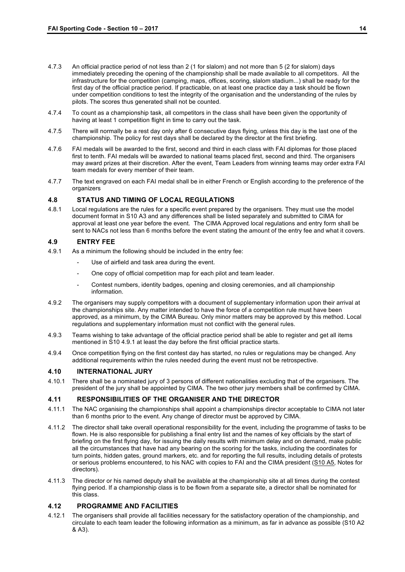- 4.7.3 An official practice period of not less than 2 (1 for slalom) and not more than 5 (2 for slalom) days immediately preceding the opening of the championship shall be made available to all competitors. All the infrastructure for the competition (camping, maps, offices, scoring, slalom stadium...) shall be ready for the first day of the official practice period. If practicable, on at least one practice day a task should be flown under competition conditions to test the integrity of the organisation and the understanding of the rules by pilots. The scores thus generated shall not be counted.
- 4.7.4 To count as a championship task, all competitors in the class shall have been given the opportunity of having at least 1 competition flight in time to carry out the task.
- 4.7.5 There will normally be a rest day only after 6 consecutive days flying, unless this day is the last one of the championship. The policy for rest days shall be declared by the director at the first briefing.
- 4.7.6 FAI medals will be awarded to the first, second and third in each class with FAI diplomas for those placed first to tenth. FAI medals will be awarded to national teams placed first, second and third. The organisers may award prizes at their discretion. After the event, Team Leaders from winning teams may order extra FAI team medals for every member of their team.
- 4.7.7 The text engraved on each FAI medal shall be in either French or English according to the preference of the organizers

#### **4.8 STATUS AND TIMING OF LOCAL REGULATIONS**

4.8.1 Local regulations are the rules for a specific event prepared by the organisers. They must use the model document format in S10 A3 and any differences shall be listed separately and submitted to CIMA for approval at least one year before the event. The CIMA Approved local regulations and entry form shall be sent to NACs not less than 6 months before the event stating the amount of the entry fee and what it covers.

#### **4.9 ENTRY FEE**

- 4.9.1 As a minimum the following should be included in the entry fee:
	- Use of airfield and task area during the event.
	- One copy of official competition map for each pilot and team leader.
	- Contest numbers, identity badges, opening and closing ceremonies, and all championship information.
- 4.9.2 The organisers may supply competitors with a document of supplementary information upon their arrival at the championships site. Any matter intended to have the force of a competition rule must have been approved, as a minimum, by the CIMA Bureau. Only minor matters may be approved by this method. Local regulations and supplementary information must not conflict with the general rules.
- 4.9.3 Teams wishing to take advantage of the official practice period shall be able to register and get all items mentioned in S10 4.9.1 at least the day before the first official practice starts.
- 4.9.4 Once competition flying on the first contest day has started, no rules or regulations may be changed. Any additional requirements within the rules needed during the event must not be retrospective.

#### **4.10 INTERNATIONAL JURY**

4.10.1 There shall be a nominated jury of 3 persons of different nationalities excluding that of the organisers. The president of the jury shall be appointed by CIMA. The two other jury members shall be confirmed by CIMA.

#### **4.11 RESPONSIBILITIES OF THE ORGANISER AND THE DIRECTOR**

- 4.11.1 The NAC organising the championships shall appoint a championships director acceptable to CIMA not later than 6 months prior to the event. Any change of director must be approved by CIMA.
- 4.11.2 The director shall take overall operational responsibility for the event, including the programme of tasks to be flown. He is also responsible for publishing a final entry list and the names of key officials by the start of briefing on the first flying day, for issuing the daily results with minimum delay and on demand, make public all the circumstances that have had any bearing on the scoring for the tasks, including the coordinates for turn points, hidden gates, ground markers, etc. and for reporting the full results, including details of protests or serious problems encountered, to his NAC with copies to FAI and the CIMA president (S10 A5, Notes for directors).
- 4.11.3 The director or his named deputy shall be available at the championship site at all times during the contest flying period. If a championship class is to be flown from a separate site, a director shall be nominated for this class.

#### **4.12 PROGRAMME AND FACILITIES**

4.12.1 The organisers shall provide all facilities necessary for the satisfactory operation of the championship, and circulate to each team leader the following information as a minimum, as far in advance as possible (S10 A2 & A3).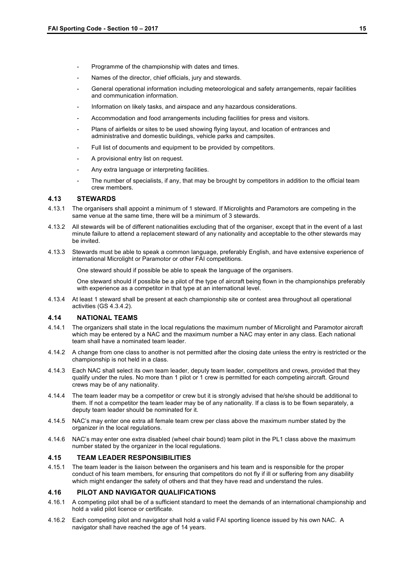- Programme of the championship with dates and times.
- Names of the director, chief officials, jury and stewards.
- General operational information including meteorological and safety arrangements, repair facilities and communication information.
- Information on likely tasks, and airspace and any hazardous considerations.
- Accommodation and food arrangements including facilities for press and visitors.
- Plans of airfields or sites to be used showing flying layout, and location of entrances and administrative and domestic buildings, vehicle parks and campsites.
- Full list of documents and equipment to be provided by competitors.
- A provisional entry list on request.
- Any extra language or interpreting facilities.
- The number of specialists, if any, that may be brought by competitors in addition to the official team crew members.

#### **4.13 STEWARDS**

- 4.13.1 The organisers shall appoint a minimum of 1 steward. If Microlights and Paramotors are competing in the same venue at the same time, there will be a minimum of 3 stewards.
- 4.13.2 All stewards will be of different nationalities excluding that of the organiser, except that in the event of a last minute failure to attend a replacement steward of any nationality and acceptable to the other stewards may be invited.
- 4.13.3 Stewards must be able to speak a common language, preferably English, and have extensive experience of international Microlight or Paramotor or other FAI competitions.

One steward should if possible be able to speak the language of the organisers.

One steward should if possible be a pilot of the type of aircraft being flown in the championships preferably with experience as a competitor in that type at an international level.

4.13.4 At least 1 steward shall be present at each championship site or contest area throughout all operational activities (GS 4.3.4.2).

#### **4.14 NATIONAL TEAMS**

- 4.14.1 The organizers shall state in the local regulations the maximum number of Microlight and Paramotor aircraft which may be entered by a NAC and the maximum number a NAC may enter in any class. Each national team shall have a nominated team leader.
- 4.14.2 A change from one class to another is not permitted after the closing date unless the entry is restricted or the championship is not held in a class.
- 4.14.3 Each NAC shall select its own team leader, deputy team leader, competitors and crews, provided that they qualify under the rules. No more than 1 pilot or 1 crew is permitted for each competing aircraft. Ground crews may be of any nationality.
- 4.14.4 The team leader may be a competitor or crew but it is strongly advised that he/she should be additional to them. If not a competitor the team leader may be of any nationality. If a class is to be flown separately, a deputy team leader should be nominated for it.
- 4.14.5 NAC's may enter one extra all female team crew per class above the maximum number stated by the organizer in the local regulations.
- 4.14.6 NAC's may enter one extra disabled (wheel chair bound) team pilot in the PL1 class above the maximum number stated by the organizer in the local regulations.

#### **4.15 TEAM LEADER RESPONSIBILITIES**

4.15.1 The team leader is the liaison between the organisers and his team and is responsible for the proper conduct of his team members, for ensuring that competitors do not fly if ill or suffering from any disability which might endanger the safety of others and that they have read and understand the rules.

#### **4.16 PILOT AND NAVIGATOR QUALIFICATIONS**

- 4.16.1 A competing pilot shall be of a sufficient standard to meet the demands of an international championship and hold a valid pilot licence or certificate.
- 4.16.2 Each competing pilot and navigator shall hold a valid FAI sporting licence issued by his own NAC. A navigator shall have reached the age of 14 years.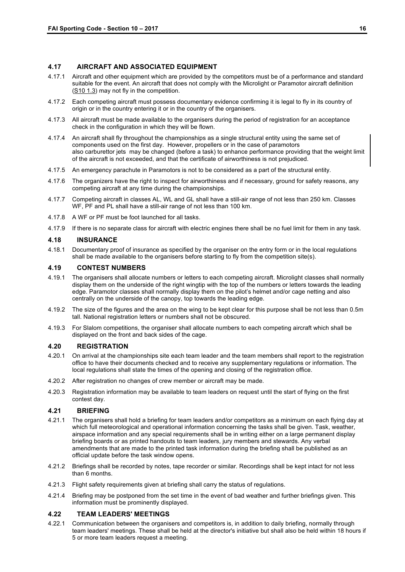#### **4.17 AIRCRAFT AND ASSOCIATED EQUIPMENT**

- 4.17.1 Aircraft and other equipment which are provided by the competitors must be of a performance and standard suitable for the event. An aircraft that does not comply with the Microlight or Paramotor aircraft definition (S10 1.3) may not fly in the competition.
- 4.17.2 Each competing aircraft must possess documentary evidence confirming it is legal to fly in its country of origin or in the country entering it or in the country of the organisers.
- 4.17.3 All aircraft must be made available to the organisers during the period of registration for an acceptance check in the configuration in which they will be flown.
- 4.17.4 An aircraft shall fly throughout the championships as a single structural entity using the same set of components used on the first day. However, propellers or in the case of paramotors also carburettor jets may be changed (before a task) to enhance performance providing that the weight limit of the aircraft is not exceeded, and that the certificate of airworthiness is not prejudiced.
- 4.17.5 An emergency parachute in Paramotors is not to be considered as a part of the structural entity.
- 4.17.6 The organizers have the right to inspect for airworthiness and if necessary, ground for safety reasons, any competing aircraft at any time during the championships.
- 4.17.7 Competing aircraft in classes AL, WL and GL shall have a still-air range of not less than 250 km. Classes WF, PF and PL shall have a still-air range of not less than 100 km.
- 4.17.8 A WF or PF must be foot launched for all tasks.
- 4.17.9 If there is no separate class for aircraft with electric engines there shall be no fuel limit for them in any task.

#### **4.18 INSURANCE**

4.18.1 Documentary proof of insurance as specified by the organiser on the entry form or in the local regulations shall be made available to the organisers before starting to fly from the competition site(s).

#### **4.19 CONTEST NUMBERS**

- 4.19.1 The organisers shall allocate numbers or letters to each competing aircraft. Microlight classes shall normally display them on the underside of the right wingtip with the top of the numbers or letters towards the leading edge. Paramotor classes shall normally display them on the pilot's helmet and/or cage netting and also centrally on the underside of the canopy, top towards the leading edge.
- 4.19.2 The size of the figures and the area on the wing to be kept clear for this purpose shall be not less than 0.5m tall. National registration letters or numbers shall not be obscured.
- 4.19.3 For Slalom competitions, the organiser shall allocate numbers to each competing aircraft which shall be displayed on the front and back sides of the cage.

#### **4.20 REGISTRATION**

- 4.20.1 On arrival at the championships site each team leader and the team members shall report to the registration office to have their documents checked and to receive any supplementary regulations or information. The local regulations shall state the times of the opening and closing of the registration office.
- 4.20.2 After registration no changes of crew member or aircraft may be made.
- 4.20.3 Registration information may be available to team leaders on request until the start of flying on the first contest day.

#### **4.21 BRIEFING**

- 4.21.1 The organisers shall hold a briefing for team leaders and/or competitors as a minimum on each flying day at which full meteorological and operational information concerning the tasks shall be given. Task, weather, airspace information and any special requirements shall be in writing either on a large permanent display briefing boards or as printed handouts to team leaders, jury members and stewards. Any verbal amendments that are made to the printed task information during the briefing shall be published as an official update before the task window opens.
- 4.21.2 Briefings shall be recorded by notes, tape recorder or similar. Recordings shall be kept intact for not less than 6 months.
- 4.21.3 Flight safety requirements given at briefing shall carry the status of regulations.
- 4.21.4 Briefing may be postponed from the set time in the event of bad weather and further briefings given. This information must be prominently displayed.

#### **4.22 TEAM LEADERS' MEETINGS**

4.22.1 Communication between the organisers and competitors is, in addition to daily briefing, normally through team leaders' meetings. These shall be held at the director's initiative but shall also be held within 18 hours if 5 or more team leaders request a meeting.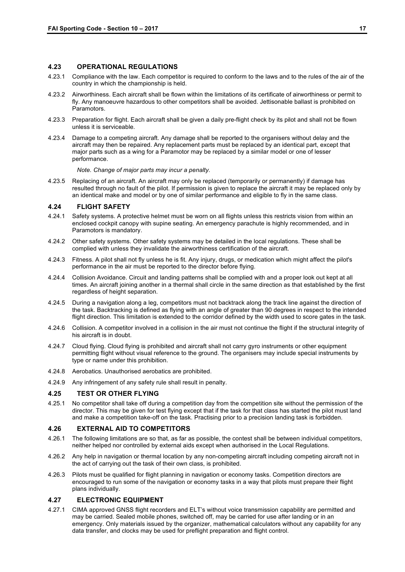#### **4.23 OPERATIONAL REGULATIONS**

- 4.23.1 Compliance with the law. Each competitor is required to conform to the laws and to the rules of the air of the country in which the championship is held.
- 4.23.2 Airworthiness. Each aircraft shall be flown within the limitations of its certificate of airworthiness or permit to fly. Any manoeuvre hazardous to other competitors shall be avoided. Jettisonable ballast is prohibited on Paramotors.
- 4.23.3 Preparation for flight. Each aircraft shall be given a daily pre-flight check by its pilot and shall not be flown unless it is serviceable.
- 4.23.4 Damage to a competing aircraft. Any damage shall be reported to the organisers without delay and the aircraft may then be repaired. Any replacement parts must be replaced by an identical part, except that major parts such as a wing for a Paramotor may be replaced by a similar model or one of lesser performance.

*Note. Change of major parts may incur a penalty.*

4.23.5 Replacing of an aircraft. An aircraft may only be replaced (temporarily or permanently) if damage has resulted through no fault of the pilot. If permission is given to replace the aircraft it may be replaced only by an identical make and model or by one of similar performance and eligible to fly in the same class.

#### **4.24 FLIGHT SAFETY**

- 4.24.1 Safety systems. A protective helmet must be worn on all flights unless this restricts vision from within an enclosed cockpit canopy with supine seating. An emergency parachute is highly recommended, and in Paramotors is mandatory.
- 4.24.2 Other safety systems. Other safety systems may be detailed in the local regulations. These shall be complied with unless they invalidate the airworthiness certification of the aircraft.
- 4.24.3 Fitness. A pilot shall not fly unless he is fit. Any injury, drugs, or medication which might affect the pilot's performance in the air must be reported to the director before flying.
- 4.24.4 Collision Avoidance. Circuit and landing patterns shall be complied with and a proper look out kept at all times. An aircraft joining another in a thermal shall circle in the same direction as that established by the first regardless of height separation.
- 4.24.5 During a navigation along a leg, competitors must not backtrack along the track line against the direction of the task. Backtracking is defined as flying with an angle of greater than 90 degrees in respect to the intended flight direction. This limitation is extended to the corridor defined by the width used to score gates in the task.
- 4.24.6 Collision. A competitor involved in a collision in the air must not continue the flight if the structural integrity of his aircraft is in doubt.
- 4.24.7 Cloud flying. Cloud flying is prohibited and aircraft shall not carry gyro instruments or other equipment permitting flight without visual reference to the ground. The organisers may include special instruments by type or name under this prohibition.
- 4.24.8 Aerobatics. Unauthorised aerobatics are prohibited.
- 4.24.9 Any infringement of any safety rule shall result in penalty.

#### **4.25 TEST OR OTHER FLYING**

4.25.1 No competitor shall take off during a competition day from the competition site without the permission of the director. This may be given for test flying except that if the task for that class has started the pilot must land and make a competition take-off on the task. Practising prior to a precision landing task is forbidden.

#### **4.26 EXTERNAL AID TO COMPETITORS**

- 4.26.1 The following limitations are so that, as far as possible, the contest shall be between individual competitors, neither helped nor controlled by external aids except when authorised in the Local Regulations.
- 4.26.2 Any help in navigation or thermal location by any non-competing aircraft including competing aircraft not in the act of carrying out the task of their own class, is prohibited.
- 4.26.3 Pilots must be qualified for flight planning in navigation or economy tasks. Competition directors are encouraged to run some of the navigation or economy tasks in a way that pilots must prepare their flight plans individually.

#### **4.27 ELECTRONIC EQUIPMENT**

4.27.1 CIMA approved GNSS flight recorders and ELT's without voice transmission capability are permitted and may be carried. Sealed mobile phones, switched off, may be carried for use after landing or in an emergency. Only materials issued by the organizer, mathematical calculators without any capability for any data transfer, and clocks may be used for preflight preparation and flight control.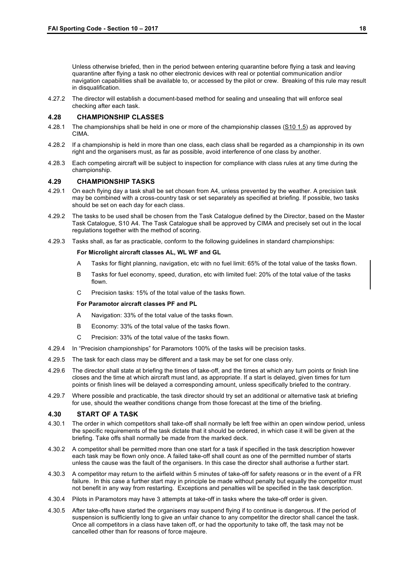Unless otherwise briefed, then in the period between entering quarantine before flying a task and leaving quarantine after flying a task no other electronic devices with real or potential communication and/or navigation capabilities shall be available to, or accessed by the pilot or crew. Breaking of this rule may result in disqualification.

4.27.2 The director will establish a document-based method for sealing and unsealing that will enforce seal checking after each task.

#### **4.28 CHAMPIONSHIP CLASSES**

- 4.28.1 The championships shall be held in one or more of the championship classes (S10 1.5) as approved by CIMA.
- 4.28.2 If a championship is held in more than one class, each class shall be regarded as a championship in its own right and the organisers must, as far as possible, avoid interference of one class by another.
- 4.28.3 Each competing aircraft will be subject to inspection for compliance with class rules at any time during the championship.

#### **4.29 CHAMPIONSHIP TASKS**

- 4.29.1 On each flying day a task shall be set chosen from A4, unless prevented by the weather. A precision task may be combined with a cross-country task or set separately as specified at briefing. If possible, two tasks should be set on each day for each class.
- 4.29.2 The tasks to be used shall be chosen from the Task Catalogue defined by the Director, based on the Master Task Catalogue, S10 A4. The Task Catalogue shall be approved by CIMA and precisely set out in the local regulations together with the method of scoring.
- 4.29.3 Tasks shall, as far as practicable, conform to the following guidelines in standard championships:

#### **For Microlight aircraft classes AL, WL WF and GL**

- A Tasks for flight planning, navigation, etc with no fuel limit: 65% of the total value of the tasks flown.
- B Tasks for fuel economy, speed, duration, etc with limited fuel: 20% of the total value of the tasks flown.
- C Precision tasks: 15% of the total value of the tasks flown.

#### **For Paramotor aircraft classes PF and PL**

- A Navigation: 33% of the total value of the tasks flown.
- B Economy: 33% of the total value of the tasks flown.
- C Precision: 33% of the total value of the tasks flown.
- 4.29.4 In "Precision championships" for Paramotors 100% of the tasks will be precision tasks.
- 4.29.5 The task for each class may be different and a task may be set for one class only.
- 4.29.6 The director shall state at briefing the times of take-off, and the times at which any turn points or finish line closes and the time at which aircraft must land, as appropriate. If a start is delayed, given times for turn points or finish lines will be delayed a corresponding amount, unless specifically briefed to the contrary.
- 4.29.7 Where possible and practicable, the task director should try set an additional or alternative task at briefing for use, should the weather conditions change from those forecast at the time of the briefing.

#### **4.30 START OF A TASK**

- 4.30.1 The order in which competitors shall take-off shall normally be left free within an open window period, unless the specific requirements of the task dictate that it should be ordered, in which case it will be given at the briefing. Take offs shall normally be made from the marked deck.
- 4.30.2 A competitor shall be permitted more than one start for a task if specified in the task description however each task may be flown only once. A failed take-off shall count as one of the permitted number of starts unless the cause was the fault of the organisers. In this case the director shall authorise a further start.
- 4.30.3 A competitor may return to the airfield within 5 minutes of take-off for safety reasons or in the event of a FR failure. In this case a further start may in principle be made without penalty but equally the competitor must not benefit in any way from restarting. Exceptions and penalties will be specified in the task description.
- 4.30.4 Pilots in Paramotors may have 3 attempts at take-off in tasks where the take-off order is given.
- 4.30.5 After take-offs have started the organisers may suspend flying if to continue is dangerous. If the period of suspension is sufficiently long to give an unfair chance to any competitor the director shall cancel the task. Once all competitors in a class have taken off, or had the opportunity to take off, the task may not be cancelled other than for reasons of force majeure.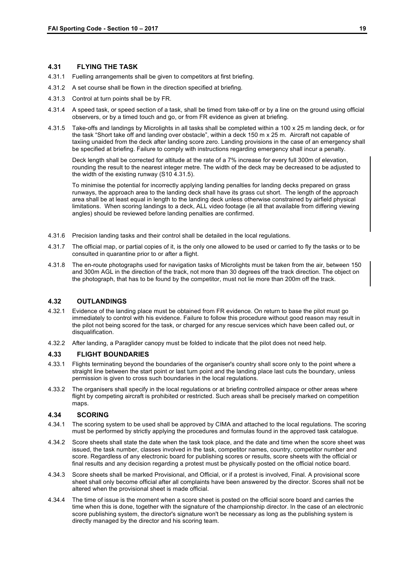#### **4.31 FLYING THE TASK**

- 4.31.1 Fuelling arrangements shall be given to competitors at first briefing.
- 4.31.2 A set course shall be flown in the direction specified at briefing.
- 4.31.3 Control at turn points shall be by FR.
- 4.31.4 A speed task, or speed section of a task, shall be timed from take-off or by a line on the ground using official observers, or by a timed touch and go, or from FR evidence as given at briefing.
- 4.31.5 Take-offs and landings by Microlights in all tasks shall be completed within a 100 x 25 m landing deck, or for the task "Short take off and landing over obstacle", within a deck 150 m x 25 m. Aircraft not capable of taxiing unaided from the deck after landing score zero. Landing provisions in the case of an emergency shall be specified at briefing. Failure to comply with instructions regarding emergency shall incur a penalty.

Deck length shall be corrected for altitude at the rate of a 7% increase for every full 300m of elevation, rounding the result to the nearest integer metre. The width of the deck may be decreased to be adjusted to the width of the existing runway (S10 4.31.5).

To minimise the potential for incorrectly applying landing penalties for landing decks prepared on grass runways, the approach area to the landing deck shall have its grass cut short. The length of the approach area shall be at least equal in length to the landing deck unless otherwise constrained by airfield physical limitations. When scoring landings to a deck, ALL video footage (ie all that available from differing viewing angles) should be reviewed before landing penalties are confirmed.

- 4.31.6 Precision landing tasks and their control shall be detailed in the local regulations.
- 4.31.7 The official map, or partial copies of it, is the only one allowed to be used or carried to fly the tasks or to be consulted in quarantine prior to or after a flight.
- 4.31.8 The en-route photographs used for navigation tasks of Microlights must be taken from the air, between 150 and 300m AGL in the direction of the track, not more than 30 degrees off the track direction. The object on the photograph, that has to be found by the competitor, must not lie more than 200m off the track.

#### **4.32 OUTLANDINGS**

- 4.32.1 Evidence of the landing place must be obtained from FR evidence. On return to base the pilot must go immediately to control with his evidence. Failure to follow this procedure without good reason may result in the pilot not being scored for the task, or charged for any rescue services which have been called out, or disqualification.
- 4.32.2 After landing, a Paraglider canopy must be folded to indicate that the pilot does not need help.

#### **4.33 FLIGHT BOUNDARIES**

- 4.33.1 Flights terminating beyond the boundaries of the organiser's country shall score only to the point where a straight line between the start point or last turn point and the landing place last cuts the boundary, unless permission is given to cross such boundaries in the local regulations.
- 4.33.2 The organisers shall specify in the local regulations or at briefing controlled airspace or other areas where flight by competing aircraft is prohibited or restricted. Such areas shall be precisely marked on competition maps.

#### **4.34 SCORING**

- 4.34.1 The scoring system to be used shall be approved by CIMA and attached to the local regulations. The scoring must be performed by strictly applying the procedures and formulas found in the approved task catalogue.
- 4.34.2 Score sheets shall state the date when the task took place, and the date and time when the score sheet was issued, the task number, classes involved in the task, competitor names, country, competitor number and score. Regardless of any electronic board for publishing scores or results, score sheets with the official or final results and any decision regarding a protest must be physically posted on the official notice board.
- 4.34.3 Score sheets shall be marked Provisional, and Official, or if a protest is involved, Final. A provisional score sheet shall only become official after all complaints have been answered by the director. Scores shall not be altered when the provisional sheet is made official.
- 4.34.4 The time of issue is the moment when a score sheet is posted on the official score board and carries the time when this is done, together with the signature of the championship director. In the case of an electronic score publishing system, the director's signature won't be necessary as long as the publishing system is directly managed by the director and his scoring team.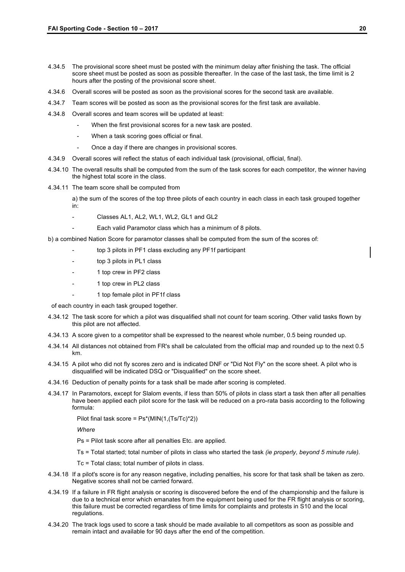- 4.34.5 The provisional score sheet must be posted with the minimum delay after finishing the task. The official score sheet must be posted as soon as possible thereafter. In the case of the last task, the time limit is 2 hours after the posting of the provisional score sheet.
- 4.34.6 Overall scores will be posted as soon as the provisional scores for the second task are available.
- 4.34.7 Team scores will be posted as soon as the provisional scores for the first task are available.
- 4.34.8 Overall scores and team scores will be updated at least:
	- When the first provisional scores for a new task are posted.
	- When a task scoring goes official or final.
	- Once a day if there are changes in provisional scores.
- 4.34.9 Overall scores will reflect the status of each individual task (provisional, official, final).
- 4.34.10 The overall results shall be computed from the sum of the task scores for each competitor, the winner having the highest total score in the class.
- 4.34.11 The team score shall be computed from
	- a) the sum of the scores of the top three pilots of each country in each class in each task grouped together in:
	- Classes AL1, AL2, WL1, WL2, GL1 and GL2
	- Each valid Paramotor class which has a minimum of 8 pilots.
- b) a combined Nation Score for paramotor classes shall be computed from the sum of the scores of:
	- top 3 pilots in PF1 class excluding any PF1f participant
	- top 3 pilots in PL1 class
	- 1 top crew in PF2 class
	- 1 top crew in PL2 class
	- 1 top female pilot in PF1f class

of each country in each task grouped together.

- 4.34.12 The task score for which a pilot was disqualified shall not count for team scoring. Other valid tasks flown by this pilot are not affected.
- 4.34.13 A score given to a competitor shall be expressed to the nearest whole number, 0.5 being rounded up.
- 4.34.14 All distances not obtained from FR's shall be calculated from the official map and rounded up to the next 0.5 km.
- 4.34.15 A pilot who did not fly scores zero and is indicated DNF or "Did Not Fly" on the score sheet. A pilot who is disqualified will be indicated DSQ or "Disqualified" on the score sheet.
- 4.34.16 Deduction of penalty points for a task shall be made after scoring is completed.
- 4.34.17 In Paramotors, except for Slalom events, if less than 50% of pilots in class start a task then after all penalties have been applied each pilot score for the task will be reduced on a pro-rata basis according to the following formula:

Pilot final task score = Ps\*(MIN(1,(Ts/Tc)\*2))

*Where*

- Ps = Pilot task score after all penalties Etc. are applied.
- Ts = Total started; total number of pilots in class who started the task *(ie properly, beyond 5 minute rule).*
- Tc = Total class; total number of pilots in class.
- 4.34.18 If a pilot's score is for any reason negative, including penalties, his score for that task shall be taken as zero. Negative scores shall not be carried forward.
- 4.34.19 If a failure in FR flight analysis or scoring is discovered before the end of the championship and the failure is due to a technical error which emanates from the equipment being used for the FR flight analysis or scoring, this failure must be corrected regardless of time limits for complaints and protests in S10 and the local regulations.
- 4.34.20 The track logs used to score a task should be made available to all competitors as soon as possible and remain intact and available for 90 days after the end of the competition.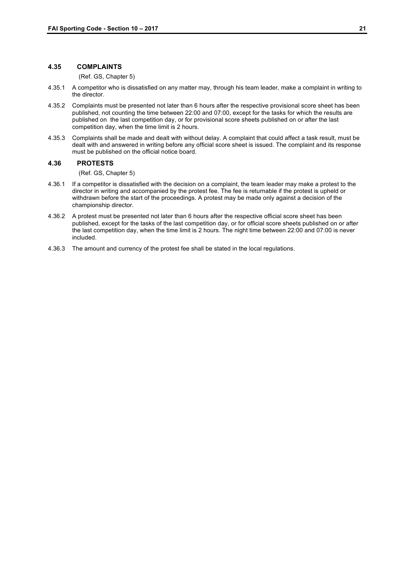#### **4.35 COMPLAINTS**

(Ref. GS, Chapter 5)

- 4.35.1 A competitor who is dissatisfied on any matter may, through his team leader, make a complaint in writing to the director.
- 4.35.2 Complaints must be presented not later than 6 hours after the respective provisional score sheet has been published, not counting the time between 22:00 and 07:00, except for the tasks for which the results are published on the last competition day, or for provisional score sheets published on or after the last competition day, when the time limit is 2 hours.
- 4.35.3 Complaints shall be made and dealt with without delay. A complaint that could affect a task result, must be dealt with and answered in writing before any official score sheet is issued. The complaint and its response must be published on the official notice board.

#### **4.36 PROTESTS**

(Ref. GS, Chapter 5)

- 4.36.1 If a competitor is dissatisfied with the decision on a complaint, the team leader may make a protest to the director in writing and accompanied by the protest fee. The fee is returnable if the protest is upheld or withdrawn before the start of the proceedings. A protest may be made only against a decision of the championship director.
- 4.36.2 A protest must be presented not later than 6 hours after the respective official score sheet has been published, except for the tasks of the last competition day, or for official score sheets published on or after the last competition day, when the time limit is 2 hours. The night time between 22:00 and 07:00 is never included.
- 4.36.3 The amount and currency of the protest fee shall be stated in the local regulations.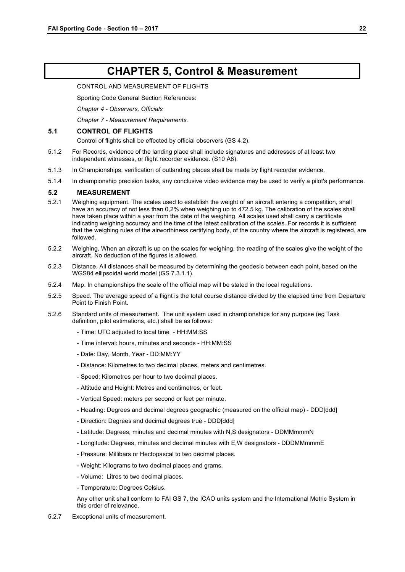### **CHAPTER 5, Control & Measurement**

#### CONTROL AND MEASUREMENT OF FLIGHTS

Sporting Code General Section References:

*Chapter 4 - Observers, Officials*

*Chapter 7 - Measurement Requirements.*

#### **5.1 CONTROL OF FLIGHTS**

Control of flights shall be effected by official observers (GS 4.2).

- 5.1.2 For Records, evidence of the landing place shall include signatures and addresses of at least two independent witnesses, or flight recorder evidence. (S10 A6).
- 5.1.3 In Championships, verification of outlanding places shall be made by flight recorder evidence.
- 5.1.4 In championship precision tasks, any conclusive video evidence may be used to verify a pilot's performance.

#### **5.2 MEASUREMENT**

- 5.2.1 Weighing equipment. The scales used to establish the weight of an aircraft entering a competition, shall have an accuracy of not less than 0,2% when weighing up to 472.5 kg. The calibration of the scales shall have taken place within a year from the date of the weighing. All scales used shall carry a certificate indicating weighing accuracy and the time of the latest calibration of the scales. For records it is sufficient that the weighing rules of the airworthiness certifying body, of the country where the aircraft is registered, are followed.
- 5.2.2 Weighing. When an aircraft is up on the scales for weighing, the reading of the scales give the weight of the aircraft. No deduction of the figures is allowed.
- 5.2.3 Distance. All distances shall be measured by determining the geodesic between each point, based on the WGS84 ellipsoidal world model (GS 7.3.1.1).
- 5.2.4 Map. In championships the scale of the official map will be stated in the local regulations.
- 5.2.5 Speed. The average speed of a flight is the total course distance divided by the elapsed time from Departure Point to Finish Point.
- 5.2.6 Standard units of measurement. The unit system used in championships for any purpose (eg Task definition, pilot estimations, etc.) shall be as follows:
	- Time: UTC adjusted to local time HH:MM:SS
	- Time interval: hours, minutes and seconds HH:MM:SS
	- Date: Day, Month, Year DD:MM:YY
	- Distance: Kilometres to two decimal places, meters and centimetres.
	- Speed: Kilometres per hour to two decimal places.
	- Altitude and Height: Metres and centimetres, or feet.
	- Vertical Speed: meters per second or feet per minute.
	- Heading: Degrees and decimal degrees geographic (measured on the official map) DDD[ddd]
	- Direction: Degrees and decimal degrees true DDD[ddd]
	- Latitude: Degrees, minutes and decimal minutes with N,S designators DDMMmmmN
	- Longitude: Degrees, minutes and decimal minutes with E,W designators DDDMMmmmE
	- Pressure: Millibars or Hectopascal to two decimal places.
	- Weight: Kilograms to two decimal places and grams.
	- Volume: Litres to two decimal places.
	- Temperature: Degrees Celsius.
	- Any other unit shall conform to FAI GS 7, the ICAO units system and the International Metric System in this order of relevance.
- 5.2.7 Exceptional units of measurement.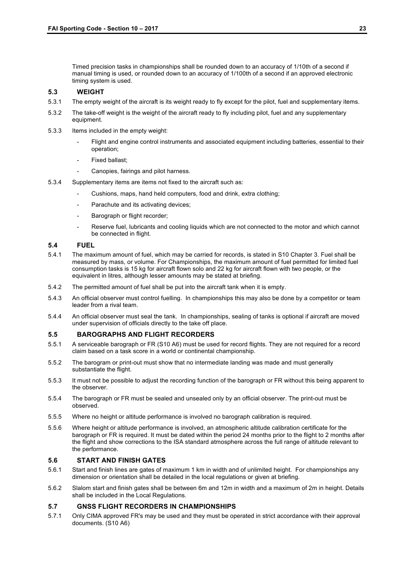Timed precision tasks in championships shall be rounded down to an accuracy of 1/10th of a second if manual timing is used, or rounded down to an accuracy of 1/100th of a second if an approved electronic timing system is used.

#### **5.3 WEIGHT**

- 5.3.1 The empty weight of the aircraft is its weight ready to fly except for the pilot, fuel and supplementary items.
- 5.3.2 The take-off weight is the weight of the aircraft ready to fly including pilot, fuel and any supplementary equipment.
- 5.3.3 Items included in the empty weight:
	- Flight and engine control instruments and associated equipment including batteries, essential to their operation;
	- Fixed ballast:
	- Canopies, fairings and pilot harness.
- 5.3.4 Supplementary items are items not fixed to the aircraft such as:
	- Cushions, maps, hand held computers, food and drink, extra clothing;
	- Parachute and its activating devices;
	- Barograph or flight recorder;
	- Reserve fuel, lubricants and cooling liquids which are not connected to the motor and which cannot be connected in flight.

#### **5.4 FUEL**

- 5.4.1 The maximum amount of fuel, which may be carried for records, is stated in S10 Chapter 3. Fuel shall be measured by mass, or volume. For Championships, the maximum amount of fuel permitted for limited fuel consumption tasks is 15 kg for aircraft flown solo and 22 kg for aircraft flown with two people, or the equivalent in litres, although lesser amounts may be stated at briefing.
- 5.4.2 The permitted amount of fuel shall be put into the aircraft tank when it is empty.
- 5.4.3 An official observer must control fuelling. In championships this may also be done by a competitor or team leader from a rival team.
- 5.4.4 An official observer must seal the tank. In championships, sealing of tanks is optional if aircraft are moved under supervision of officials directly to the take off place.

#### **5.5 BAROGRAPHS AND FLIGHT RECORDERS**

- 5.5.1 A serviceable barograph or FR (S10 A6) must be used for record flights. They are not required for a record claim based on a task score in a world or continental championship.
- 5.5.2 The barogram or print-out must show that no intermediate landing was made and must generally substantiate the flight.
- 5.5.3 It must not be possible to adjust the recording function of the barograph or FR without this being apparent to the observer.
- 5.5.4 The barograph or FR must be sealed and unsealed only by an official observer. The print-out must be observed.
- 5.5.5 Where no height or altitude performance is involved no barograph calibration is required.
- 5.5.6 Where height or altitude performance is involved, an atmospheric altitude calibration certificate for the barograph or FR is required. It must be dated within the period 24 months prior to the flight to 2 months after the flight and show corrections to the ISA standard atmosphere across the full range of altitude relevant to the performance.

#### **5.6 START AND FINISH GATES**

- 5.6.1 Start and finish lines are gates of maximum 1 km in width and of unlimited height. For championships any dimension or orientation shall be detailed in the local regulations or given at briefing.
- 5.6.2 Slalom start and finish gates shall be between 6m and 12m in width and a maximum of 2m in height. Details shall be included in the Local Regulations.

#### **5.7 GNSS FLIGHT RECORDERS IN CHAMPIONSHIPS**

5.7.1 Only CIMA approved FR's may be used and they must be operated in strict accordance with their approval documents. (S10 A6)